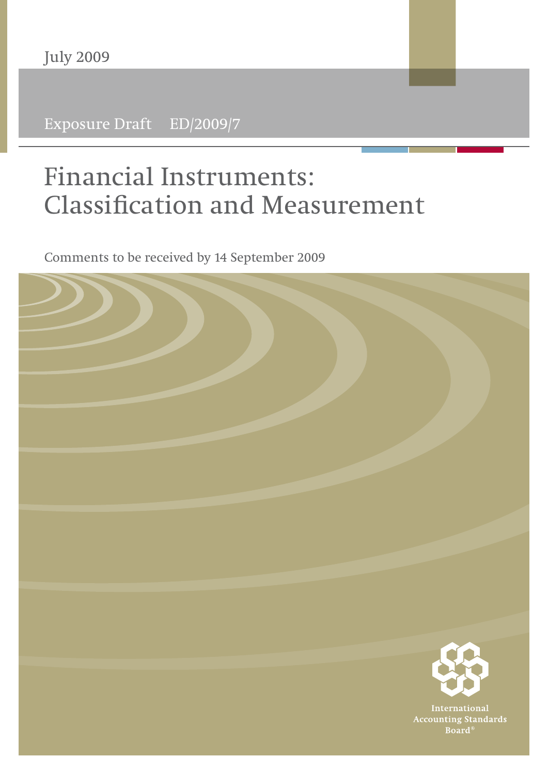Exposure Draft ED/2009/7

# **Financial Instruments: Classification and Measurement**

Comments to be received by 14 September 2009

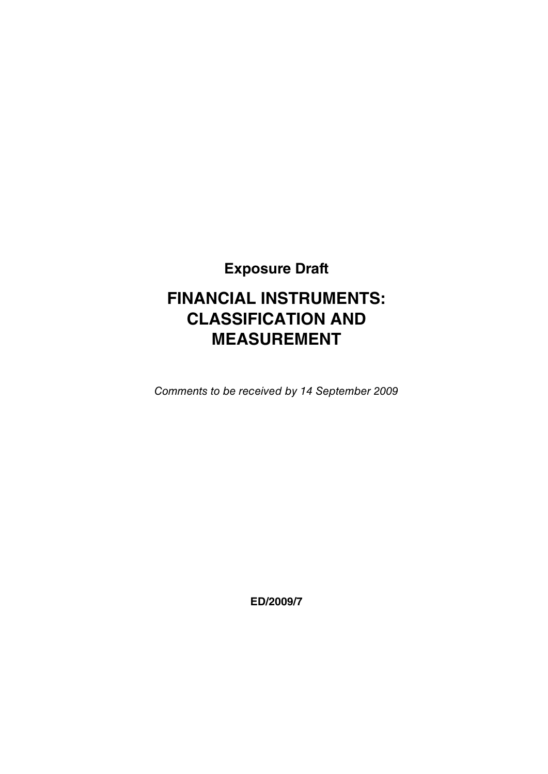### **Exposure Draft**

## **FINANCIAL INSTRUMENTS: CLASSIFICATION AND MEASUREMENT**

Comments to be received by 14 September 2009

**ED/2009/7**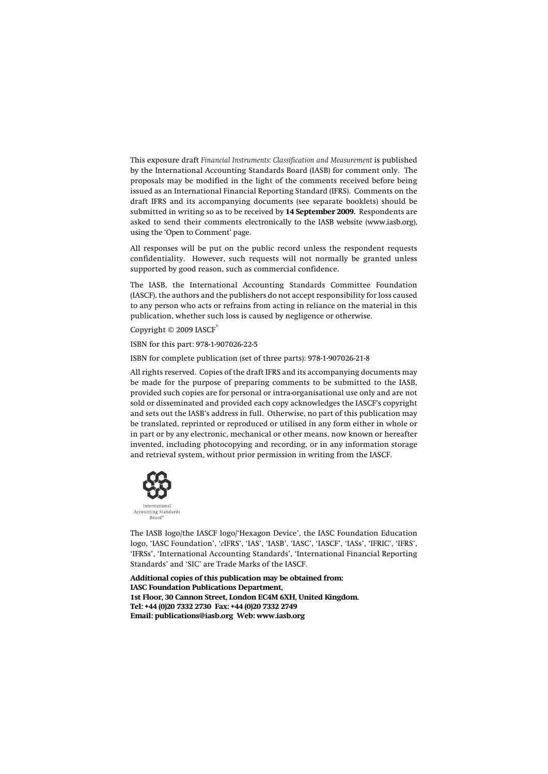This exposure draft *Financial Instruments: Classification and Measurement* is published by the International Accounting Standards Board (IASB) for comment only. The proposals may be modified in the light of the comments received before being issued as an International Financial Reporting Standard (IFRS). Comments on the draft IFRS and its accompanying documents (see separate booklets) should be submitted in writing so as to be received by **14 September 2009.** Respondents are asked to send their comments electronically to the IASB website (www.iasb.org), using the 'Open to Comment' page.

All responses will be put on the public record unless the respondent requests confidentiality. However, such requests will not normally be granted unless supported by good reason, such as commercial confidence.

The IASB, the International Accounting Standards Committee Foundation (IASCF), the authors and the publishers do not accept responsibility for loss caused to any person who acts or refrains from acting in reliance on the material in this publication, whether such loss is caused by negligence or otherwise.

Copyright © 2009 IASCF®

ISBN for this part: 978-1-907026-22-5

ISBN for complete publication (set of three parts): 978-1-907026-21-8

All rights reserved. Copies of the draft IFRS and its accompanying documents may be made for the purpose of preparing comments to be submitted to the IASB, provided such copies are for personal or intra-organisational use only and are not sold or disseminated and provided each copy acknowledges the IASCF's copyright and sets out the IASB's address in full. Otherwise, no part of this publication may be translated, reprinted or reproduced or utilised in any form either in whole or in part or by any electronic, mechanical or other means, now known or hereafter invented, including photocopying and recording, or in any information storage and retrieval system, without prior permission in writing from the IASCF.



The IASB logo/the IASCF logo/'Hexagon Device', the IASC Foundation Education logo, 'IASC Foundation', '*e*IFRS', 'IAS', 'IASB', 'IASC', 'IASCF', 'IASs', 'IFRIC', 'IFRS', 'IFRSs', 'International Accounting Standards', 'International Financial Reporting Standards' and 'SIC' are Trade Marks of the IASCF.

**Additional copies of this publication may be obtained from: IASC Foundation Publications Department, 1st Floor, 30 Cannon Street, London EC4M 6XH, United Kingdom. Tel: +44 (0)20 7332 2730 Fax: +44 (0)20 7332 2749 Email: publications@iasb.org Web: www.iasb.org**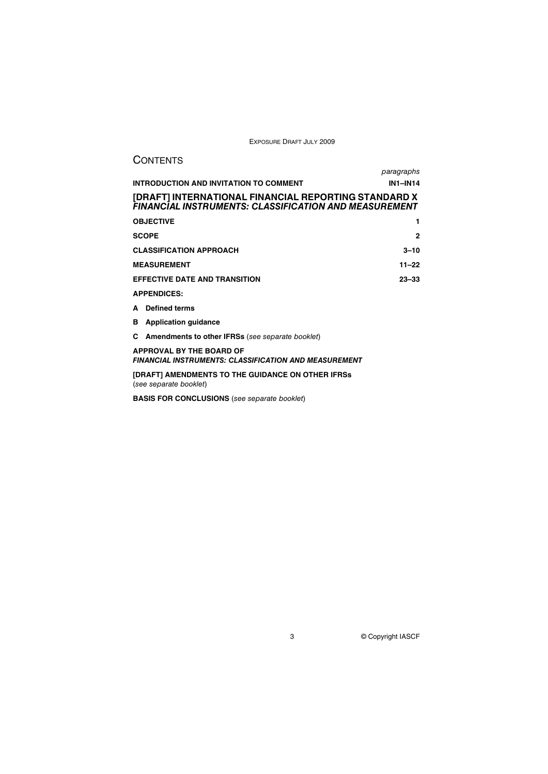| <b>CONTENTS</b>                                                                                                      |                 |
|----------------------------------------------------------------------------------------------------------------------|-----------------|
|                                                                                                                      | paragraphs      |
| <b>INTRODUCTION AND INVITATION TO COMMENT</b>                                                                        | <b>IN1-IN14</b> |
| [DRAFT] INTERNATIONAL FINANCIAL REPORTING STANDARD X<br><b>FINANCIAL INSTRUMENTS: CLASSIFICATION AND MEASUREMENT</b> |                 |
| <b>OBJECTIVE</b>                                                                                                     | 1               |
| <b>SCOPE</b>                                                                                                         | $\mathbf{2}$    |
| <b>CLASSIFICATION APPROACH</b>                                                                                       | $3 - 10$        |
| <b>MEASUREMENT</b>                                                                                                   | $11 - 22$       |
| <b>EFFECTIVE DATE AND TRANSITION</b>                                                                                 | $23 - 33$       |
| <b>APPENDICES:</b>                                                                                                   |                 |
| <b>Defined terms</b><br>A                                                                                            |                 |
| <b>Application quidance</b><br>в                                                                                     |                 |
| <b>Amendments to other IFRSs</b> (see separate booklet)<br>C                                                         |                 |
| <b>APPROVAL BY THE BOARD OF</b><br><b>FINANCIAL INSTRUMENTS: CLASSIFICATION AND MEASUREMENT</b>                      |                 |

**[DRAFT] AMENDMENTS TO THE GUIDANCE ON OTHER IFRSs** (see separate booklet)

**BASIS FOR CONCLUSIONS** (see separate booklet)

3 © Copyright IASCF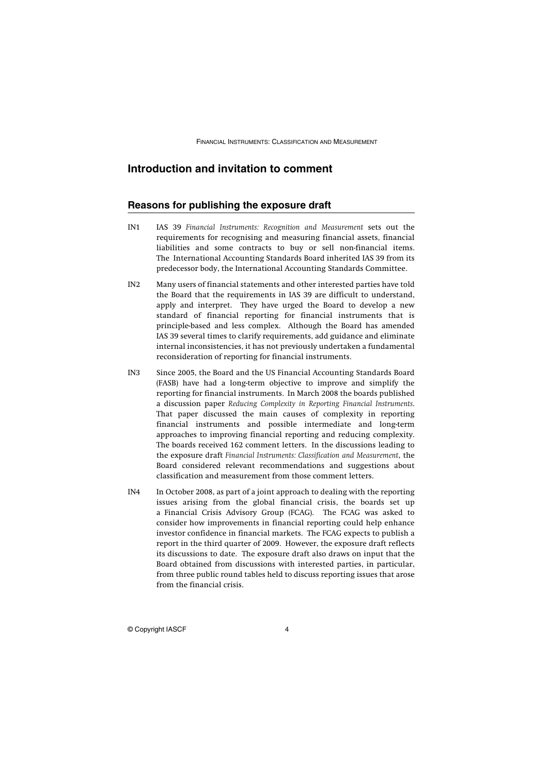#### **Introduction and invitation to comment**

#### **Reasons for publishing the exposure draft**

- IN1 IAS 39 *Financial Instruments: Recognition and Measurement* sets out the requirements for recognising and measuring financial assets, financial liabilities and some contracts to buy or sell non-financial items. The International Accounting Standards Board inherited IAS 39 from its predecessor body, the International Accounting Standards Committee.
- IN2 Many users of financial statements and other interested parties have told the Board that the requirements in IAS 39 are difficult to understand, apply and interpret. They have urged the Board to develop a new standard of financial reporting for financial instruments that is principle-based and less complex. Although the Board has amended IAS 39 several times to clarify requirements, add guidance and eliminate internal inconsistencies, it has not previously undertaken a fundamental reconsideration of reporting for financial instruments.
- IN3 Since 2005, the Board and the US Financial Accounting Standards Board (FASB) have had a long-term objective to improve and simplify the reporting for financial instruments. In March 2008 the boards published a discussion paper *Reducing Complexity in Reporting Financial Instruments*. That paper discussed the main causes of complexity in reporting financial instruments and possible intermediate and long-term approaches to improving financial reporting and reducing complexity. The boards received 162 comment letters. In the discussions leading to the exposure draft *Financial Instruments: Classification and Measurement*, the Board considered relevant recommendations and suggestions about classification and measurement from those comment letters.
- IN4 In October 2008, as part of a joint approach to dealing with the reporting issues arising from the global financial crisis, the boards set up a Financial Crisis Advisory Group (FCAG). The FCAG was asked to consider how improvements in financial reporting could help enhance investor confidence in financial markets. The FCAG expects to publish a report in the third quarter of 2009. However, the exposure draft reflects its discussions to date. The exposure draft also draws on input that the Board obtained from discussions with interested parties, in particular, from three public round tables held to discuss reporting issues that arose from the financial crisis.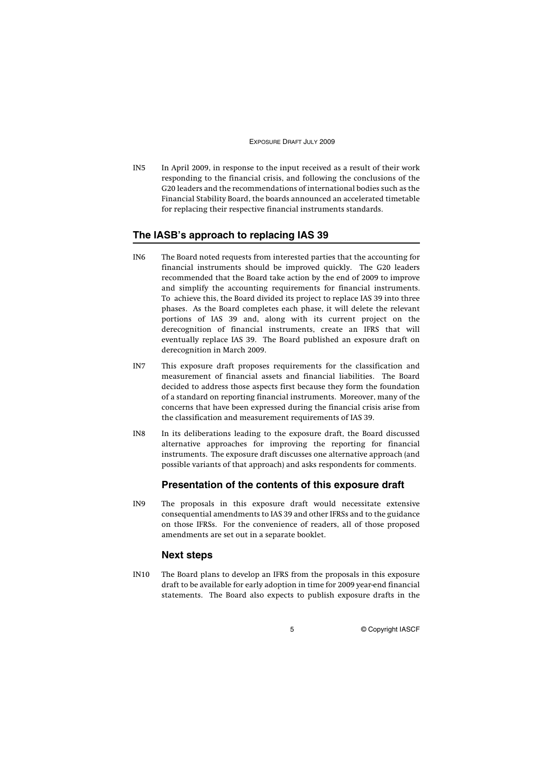IN5 In April 2009, in response to the input received as a result of their work responding to the financial crisis, and following the conclusions of the G20 leaders and the recommendations of international bodies such as the Financial Stability Board, the boards announced an accelerated timetable for replacing their respective financial instruments standards.

#### **The IASB's approach to replacing IAS 39**

- IN6 The Board noted requests from interested parties that the accounting for financial instruments should be improved quickly. The G20 leaders recommended that the Board take action by the end of 2009 to improve and simplify the accounting requirements for financial instruments. To achieve this, the Board divided its project to replace IAS 39 into three phases. As the Board completes each phase, it will delete the relevant portions of IAS 39 and, along with its current project on the derecognition of financial instruments, create an IFRS that will eventually replace IAS 39. The Board published an exposure draft on derecognition in March 2009.
- IN7 This exposure draft proposes requirements for the classification and measurement of financial assets and financial liabilities. The Board decided to address those aspects first because they form the foundation of a standard on reporting financial instruments. Moreover, many of the concerns that have been expressed during the financial crisis arise from the classification and measurement requirements of IAS 39.
- IN8 In its deliberations leading to the exposure draft, the Board discussed alternative approaches for improving the reporting for financial instruments. The exposure draft discusses one alternative approach (and possible variants of that approach) and asks respondents for comments.

#### **Presentation of the contents of this exposure draft**

IN9 The proposals in this exposure draft would necessitate extensive consequential amendments to IAS 39 and other IFRSs and to the guidance on those IFRSs. For the convenience of readers, all of those proposed amendments are set out in a separate booklet.

#### **Next steps**

IN10 The Board plans to develop an IFRS from the proposals in this exposure draft to be available for early adoption in time for 2009 year-end financial statements. The Board also expects to publish exposure drafts in the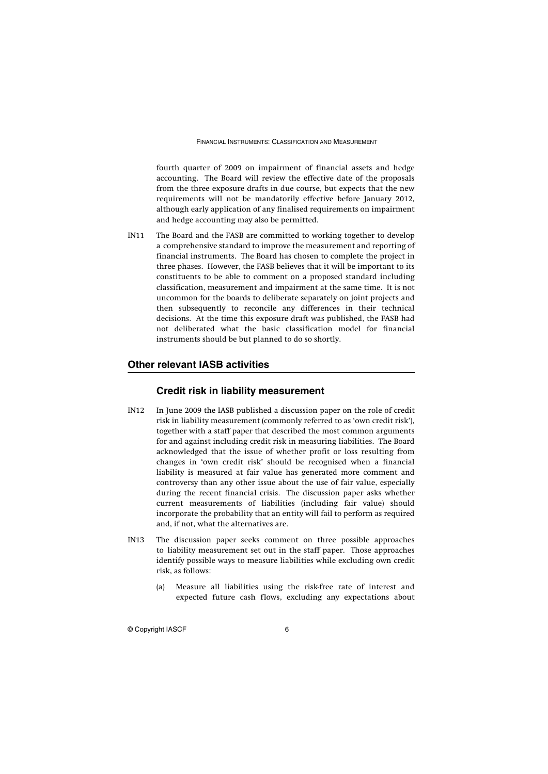fourth quarter of 2009 on impairment of financial assets and hedge accounting. The Board will review the effective date of the proposals from the three exposure drafts in due course, but expects that the new requirements will not be mandatorily effective before January 2012, although early application of any finalised requirements on impairment and hedge accounting may also be permitted.

IN11 The Board and the FASB are committed to working together to develop a comprehensive standard to improve the measurement and reporting of financial instruments. The Board has chosen to complete the project in three phases. However, the FASB believes that it will be important to its constituents to be able to comment on a proposed standard including classification, measurement and impairment at the same time. It is not uncommon for the boards to deliberate separately on joint projects and then subsequently to reconcile any differences in their technical decisions. At the time this exposure draft was published, the FASB had not deliberated what the basic classification model for financial instruments should be but planned to do so shortly.

#### **Other relevant IASB activities**

#### **Credit risk in liability measurement**

- IN12 In June 2009 the IASB published a discussion paper on the role of credit risk in liability measurement (commonly referred to as 'own credit risk'), together with a staff paper that described the most common arguments for and against including credit risk in measuring liabilities. The Board acknowledged that the issue of whether profit or loss resulting from changes in 'own credit risk' should be recognised when a financial liability is measured at fair value has generated more comment and controversy than any other issue about the use of fair value, especially during the recent financial crisis. The discussion paper asks whether current measurements of liabilities (including fair value) should incorporate the probability that an entity will fail to perform as required and, if not, what the alternatives are.
- IN13 The discussion paper seeks comment on three possible approaches to liability measurement set out in the staff paper. Those approaches identify possible ways to measure liabilities while excluding own credit risk, as follows:
	- (a) Measure all liabilities using the risk-free rate of interest and expected future cash flows, excluding any expectations about

 $\sum_{i=1}^{n}$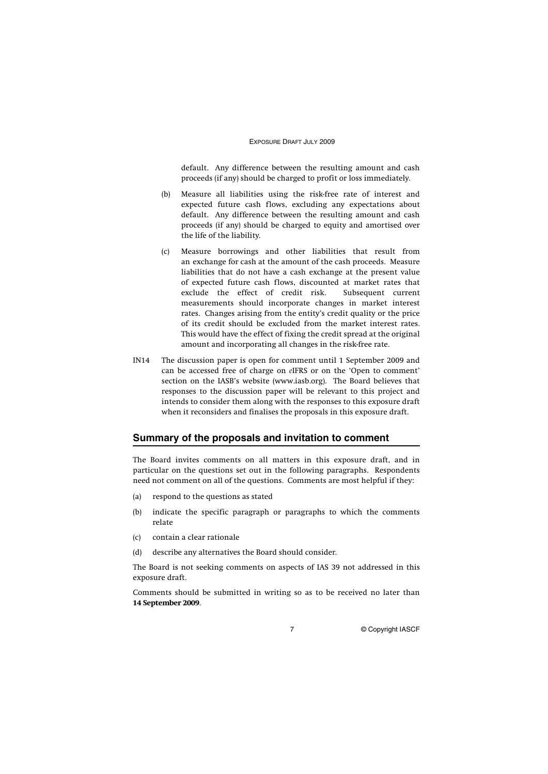default. Any difference between the resulting amount and cash proceeds (if any) should be charged to profit or loss immediately.

- (b) Measure all liabilities using the risk-free rate of interest and expected future cash flows, excluding any expectations about default. Any difference between the resulting amount and cash proceeds (if any) should be charged to equity and amortised over the life of the liability.
- (c) Measure borrowings and other liabilities that result from an exchange for cash at the amount of the cash proceeds. Measure liabilities that do not have a cash exchange at the present value of expected future cash flows, discounted at market rates that exclude the effect of credit risk. Subsequent current measurements should incorporate changes in market interest rates. Changes arising from the entity's credit quality or the price of its credit should be excluded from the market interest rates. This would have the effect of fixing the credit spread at the original amount and incorporating all changes in the risk-free rate.
- IN14 The discussion paper is open for comment until 1 September 2009 and can be accessed free of charge on *e*IFRS or on the 'Open to comment' section on the IASB's website (www.iasb.org). The Board believes that responses to the discussion paper will be relevant to this project and intends to consider them along with the responses to this exposure draft when it reconsiders and finalises the proposals in this exposure draft.

#### **Summary of the proposals and invitation to comment**

The Board invites comments on all matters in this exposure draft, and in particular on the questions set out in the following paragraphs. Respondents need not comment on all of the questions. Comments are most helpful if they:

- (a) respond to the questions as stated
- (b) indicate the specific paragraph or paragraphs to which the comments relate
- (c) contain a clear rationale
- (d) describe any alternatives the Board should consider.

The Board is not seeking comments on aspects of IAS 39 not addressed in this exposure draft.

Comments should be submitted in writing so as to be received no later than **14 September 2009**.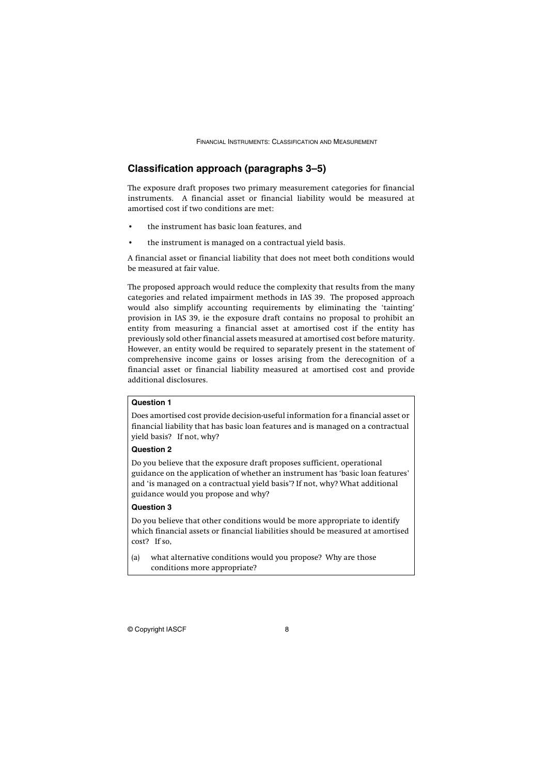#### **Classification approach (paragraphs 3–5)**

The exposure draft proposes two primary measurement categories for financial instruments. A financial asset or financial liability would be measured at amortised cost if two conditions are met:

- the instrument has basic loan features, and
- the instrument is managed on a contractual yield basis.

A financial asset or financial liability that does not meet both conditions would be measured at fair value.

The proposed approach would reduce the complexity that results from the many categories and related impairment methods in IAS 39. The proposed approach would also simplify accounting requirements by eliminating the 'tainting' provision in IAS 39, ie the exposure draft contains no proposal to prohibit an entity from measuring a financial asset at amortised cost if the entity has previously sold other financial assets measured at amortised cost before maturity. However, an entity would be required to separately present in the statement of comprehensive income gains or losses arising from the derecognition of a financial asset or financial liability measured at amortised cost and provide additional disclosures.

#### **Question 1**

Does amortised cost provide decision-useful information for a financial asset or financial liability that has basic loan features and is managed on a contractual yield basis? If not, why?

#### **Question 2**

Do you believe that the exposure draft proposes sufficient, operational guidance on the application of whether an instrument has 'basic loan features' and 'is managed on a contractual yield basis'? If not, why? What additional guidance would you propose and why?

#### **Question 3**

Do you believe that other conditions would be more appropriate to identify which financial assets or financial liabilities should be measured at amortised cost? If so,

(a) what alternative conditions would you propose? Why are those conditions more appropriate?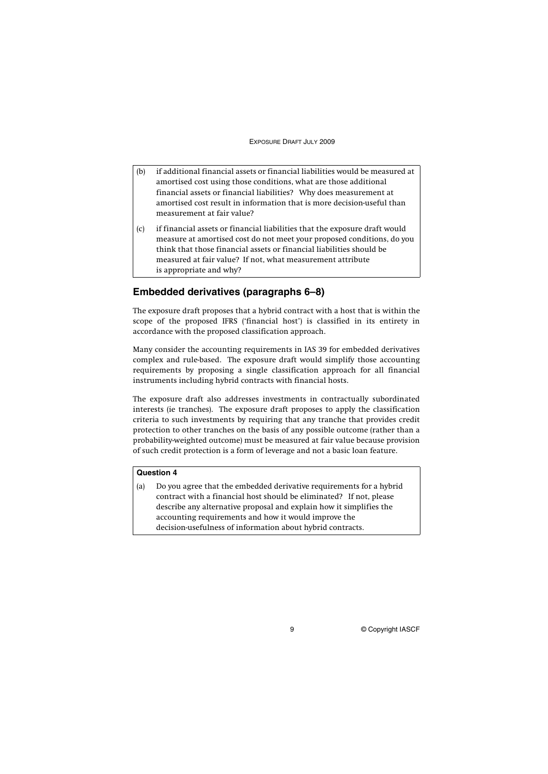- (b) if additional financial assets or financial liabilities would be measured at amortised cost using those conditions, what are those additional financial assets or financial liabilities? Why does measurement at amortised cost result in information that is more decision-useful than measurement at fair value?
- (c) if financial assets or financial liabilities that the exposure draft would measure at amortised cost do not meet your proposed conditions, do you think that those financial assets or financial liabilities should be measured at fair value? If not, what measurement attribute is appropriate and why?

#### **Embedded derivatives (paragraphs 6–8)**

The exposure draft proposes that a hybrid contract with a host that is within the scope of the proposed IFRS ('financial host') is classified in its entirety in accordance with the proposed classification approach.

Many consider the accounting requirements in IAS 39 for embedded derivatives complex and rule-based. The exposure draft would simplify those accounting requirements by proposing a single classification approach for all financial instruments including hybrid contracts with financial hosts.

The exposure draft also addresses investments in contractually subordinated interests (ie tranches). The exposure draft proposes to apply the classification criteria to such investments by requiring that any tranche that provides credit protection to other tranches on the basis of any possible outcome (rather than a probability-weighted outcome) must be measured at fair value because provision of such credit protection is a form of leverage and not a basic loan feature.

#### **Question 4**

(a) Do you agree that the embedded derivative requirements for a hybrid contract with a financial host should be eliminated? If not, please describe any alternative proposal and explain how it simplifies the accounting requirements and how it would improve the decision-usefulness of information about hybrid contracts.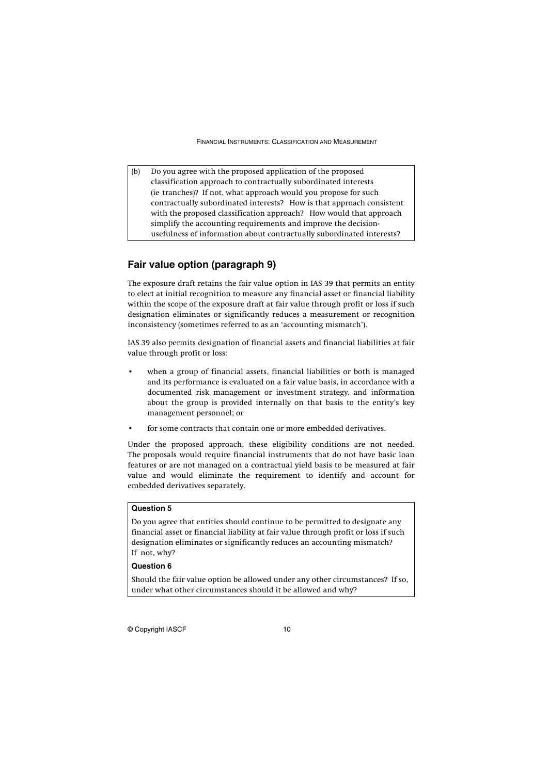(b) Do you agree with the proposed application of the proposed classification approach to contractually subordinated interests (ie tranches)? If not, what approach would you propose for such contractually subordinated interests? How is that approach consistent with the proposed classification approach? How would that approach simplify the accounting requirements and improve the decisionusefulness of information about contractually subordinated interests?

#### **Fair value option (paragraph 9)**

The exposure draft retains the fair value option in IAS 39 that permits an entity to elect at initial recognition to measure any financial asset or financial liability within the scope of the exposure draft at fair value through profit or loss if such designation eliminates or significantly reduces a measurement or recognition inconsistency (sometimes referred to as an 'accounting mismatch').

IAS 39 also permits designation of financial assets and financial liabilities at fair value through profit or loss:

- when a group of financial assets, financial liabilities or both is managed and its performance is evaluated on a fair value basis, in accordance with a documented risk management or investment strategy, and information about the group is provided internally on that basis to the entity's key management personnel; or
- for some contracts that contain one or more embedded derivatives.

Under the proposed approach, these eligibility conditions are not needed. The proposals would require financial instruments that do not have basic loan features or are not managed on a contractual yield basis to be measured at fair value and would eliminate the requirement to identify and account for embedded derivatives separately.

#### **Question 5**

Do you agree that entities should continue to be permitted to designate any financial asset or financial liability at fair value through profit or loss if such designation eliminates or significantly reduces an accounting mismatch? If not, why?

#### **Question 6**

Should the fair value option be allowed under any other circumstances? If so, under what other circumstances should it be allowed and why?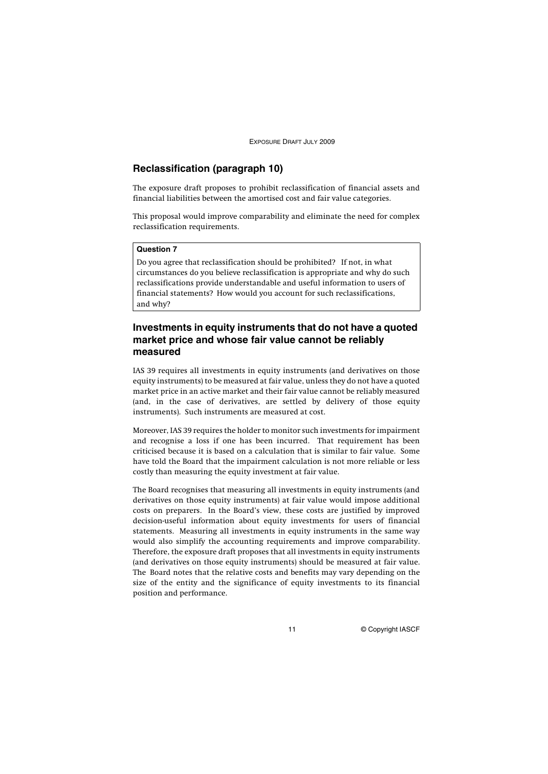#### **Reclassification (paragraph 10)**

The exposure draft proposes to prohibit reclassification of financial assets and financial liabilities between the amortised cost and fair value categories.

This proposal would improve comparability and eliminate the need for complex reclassification requirements.

#### **Question 7**

Do you agree that reclassification should be prohibited? If not, in what circumstances do you believe reclassification is appropriate and why do such reclassifications provide understandable and useful information to users of financial statements? How would you account for such reclassifications, and why?

#### **Investments in equity instruments that do not have a quoted market price and whose fair value cannot be reliably measured**

IAS 39 requires all investments in equity instruments (and derivatives on those equity instruments) to be measured at fair value, unless they do not have a quoted market price in an active market and their fair value cannot be reliably measured (and, in the case of derivatives, are settled by delivery of those equity instruments). Such instruments are measured at cost.

Moreover, IAS 39 requires the holder to monitor such investments for impairment and recognise a loss if one has been incurred. That requirement has been criticised because it is based on a calculation that is similar to fair value. Some have told the Board that the impairment calculation is not more reliable or less costly than measuring the equity investment at fair value.

The Board recognises that measuring all investments in equity instruments (and derivatives on those equity instruments) at fair value would impose additional costs on preparers. In the Board's view, these costs are justified by improved decision-useful information about equity investments for users of financial statements. Measuring all investments in equity instruments in the same way would also simplify the accounting requirements and improve comparability. Therefore, the exposure draft proposes that all investments in equity instruments (and derivatives on those equity instruments) should be measured at fair value. The Board notes that the relative costs and benefits may vary depending on the size of the entity and the significance of equity investments to its financial position and performance.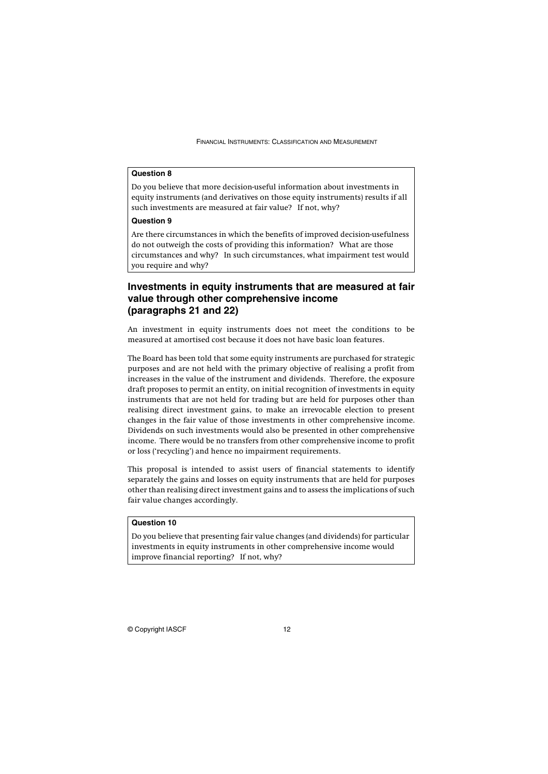#### **Question 8**

Do you believe that more decision-useful information about investments in equity instruments (and derivatives on those equity instruments) results if all such investments are measured at fair value? If not, why?

#### **Question 9**

Are there circumstances in which the benefits of improved decision-usefulness do not outweigh the costs of providing this information? What are those circumstances and why? In such circumstances, what impairment test would you require and why?

#### **Investments in equity instruments that are measured at fair value through other comprehensive income (paragraphs 21 and 22)**

An investment in equity instruments does not meet the conditions to be measured at amortised cost because it does not have basic loan features.

The Board has been told that some equity instruments are purchased for strategic purposes and are not held with the primary objective of realising a profit from increases in the value of the instrument and dividends. Therefore, the exposure draft proposes to permit an entity, on initial recognition of investments in equity instruments that are not held for trading but are held for purposes other than realising direct investment gains, to make an irrevocable election to present changes in the fair value of those investments in other comprehensive income. Dividends on such investments would also be presented in other comprehensive income. There would be no transfers from other comprehensive income to profit or loss ('recycling') and hence no impairment requirements.

This proposal is intended to assist users of financial statements to identify separately the gains and losses on equity instruments that are held for purposes other than realising direct investment gains and to assess the implications of such fair value changes accordingly.

#### **Question 10**

Do you believe that presenting fair value changes (and dividends) for particular investments in equity instruments in other comprehensive income would improve financial reporting? If not, why?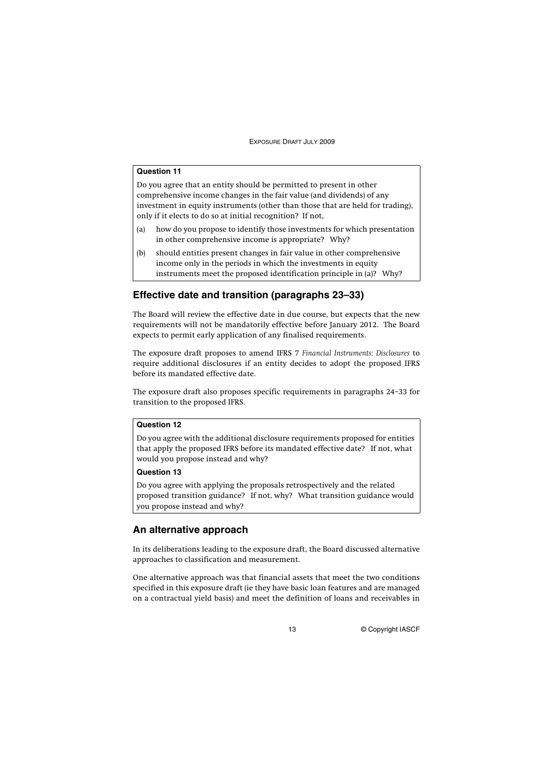#### **Question 11**

Do you agree that an entity should be permitted to present in other comprehensive income changes in the fair value (and dividends) of any investment in equity instruments (other than those that are held for trading), only if it elects to do so at initial recognition? If not,

- (a) how do you propose to identify those investments for which presentation in other comprehensive income is appropriate? Why?
- (b) should entities present changes in fair value in other comprehensive income only in the periods in which the investments in equity instruments meet the proposed identification principle in (a)? Why?

#### **Effective date and transition (paragraphs 23–33)**

The Board will review the effective date in due course, but expects that the new requirements will not be mandatorily effective before January 2012. The Board expects to permit early application of any finalised requirements.

The exposure draft proposes to amend IFRS 7 *Financial Instruments: Disclosures* to require additional disclosures if an entity decides to adopt the proposed IFRS before its mandated effective date.

The exposure draft also proposes specific requirements in paragraphs 24–33 for transition to the proposed IFRS.

#### **Question 12**

Do you agree with the additional disclosure requirements proposed for entities that apply the proposed IFRS before its mandated effective date? If not, what would you propose instead and why?

#### **Question 13**

Do you agree with applying the proposals retrospectively and the related proposed transition guidance? If not, why? What transition guidance would you propose instead and why?

#### **An alternative approach**

In its deliberations leading to the exposure draft, the Board discussed alternative approaches to classification and measurement.

One alternative approach was that financial assets that meet the two conditions specified in this exposure draft (ie they have basic loan features and are managed on a contractual yield basis) and meet the definition of loans and receivables in

 $13.3<sub>1</sub>$  or  $13.3<sub>1</sub>$  or  $13.3<sub>1</sub>$  or  $13.3<sub>1</sub>$  or  $13.3<sub>1</sub>$  or  $13.3<sub>1</sub>$  or  $13.3<sub>1</sub>$  or  $13.3<sub>1</sub>$  or  $13.3<sub>1</sub>$  or  $13.3<sub>1</sub>$  or  $13.3<sub>1</sub>$  or  $13.3<sub>1</sub>$  or  $13.3<sub>1</sub>$  or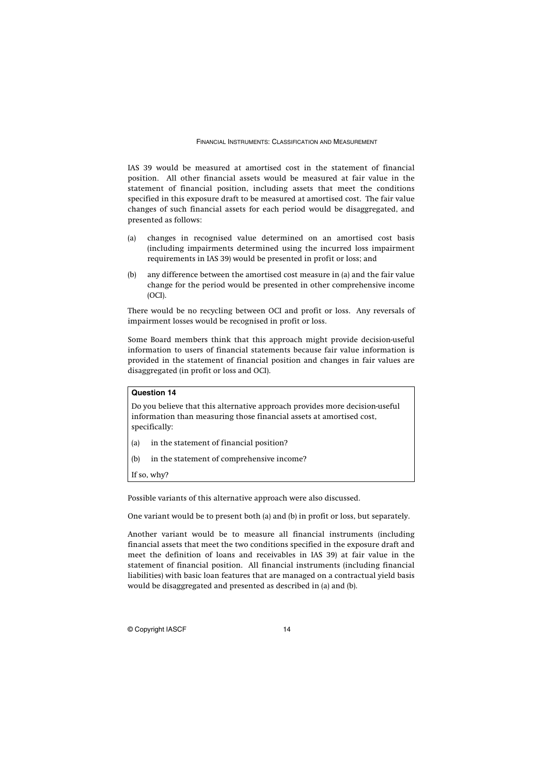IAS 39 would be measured at amortised cost in the statement of financial position. All other financial assets would be measured at fair value in the statement of financial position, including assets that meet the conditions specified in this exposure draft to be measured at amortised cost. The fair value changes of such financial assets for each period would be disaggregated, and presented as follows:

- (a) changes in recognised value determined on an amortised cost basis (including impairments determined using the incurred loss impairment requirements in IAS 39) would be presented in profit or loss; and
- (b) any difference between the amortised cost measure in (a) and the fair value change for the period would be presented in other comprehensive income (OCI).

There would be no recycling between OCI and profit or loss. Any reversals of impairment losses would be recognised in profit or loss.

Some Board members think that this approach might provide decision-useful information to users of financial statements because fair value information is provided in the statement of financial position and changes in fair values are disaggregated (in profit or loss and OCI).

#### **Question 14**

Do you believe that this alternative approach provides more decision-useful information than measuring those financial assets at amortised cost, specifically:

- (a) in the statement of financial position?
- (b) in the statement of comprehensive income?

If so, why?

Possible variants of this alternative approach were also discussed.

One variant would be to present both (a) and (b) in profit or loss, but separately.

Another variant would be to measure all financial instruments (including financial assets that meet the two conditions specified in the exposure draft and meet the definition of loans and receivables in IAS 39) at fair value in the statement of financial position. All financial instruments (including financial liabilities) with basic loan features that are managed on a contractual yield basis would be disaggregated and presented as described in (a) and (b).

 $\sum_{i=1}^{n}$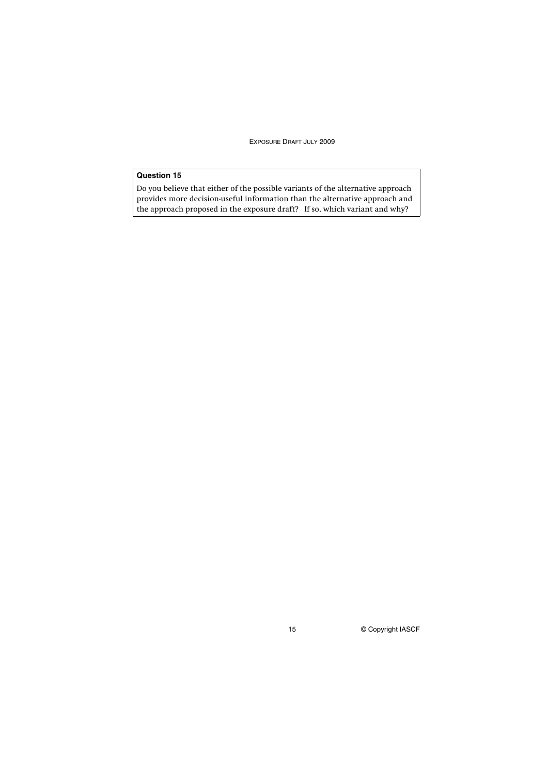#### **Question 15**

Do you believe that either of the possible variants of the alternative approach provides more decision-useful information than the alternative approach and the approach proposed in the exposure draft? If so, which variant and why?

15 © Copyright IASCF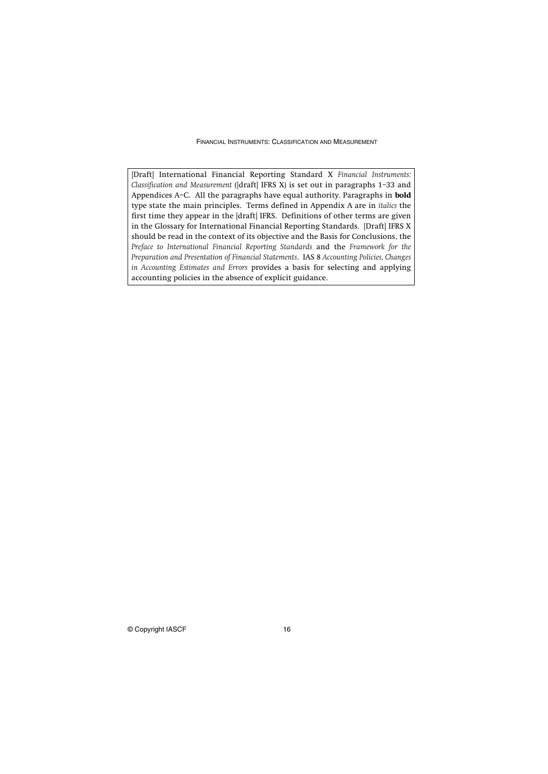[Draft] International Financial Reporting Standard X *Financial Instruments: Classification and Measurement* ([draft] IFRS X) is set out in paragraphs 1–33 and Appendices A–C. All the paragraphs have equal authority. Paragraphs in **bold** type state the main principles. Terms defined in Appendix A are in *italics* the first time they appear in the [draft] IFRS. Definitions of other terms are given in the Glossary for International Financial Reporting Standards. [Draft] IFRS X should be read in the context of its objective and the Basis for Conclusions, the *Preface to International Financial Reporting Standards* and the *Framework for the Preparation and Presentation of Financial Statements*. IAS 8 *Accounting Policies, Changes in Accounting Estimates and Errors* provides a basis for selecting and applying accounting policies in the absence of explicit guidance.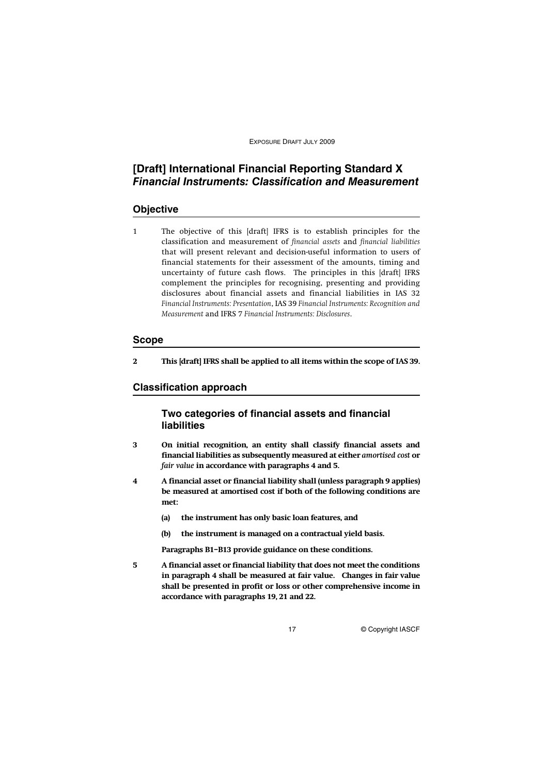#### **[Draft] International Financial Reporting Standard X**  *Financial Instruments: Classification and Measurement*

#### **Objective**

1 The objective of this [draft] IFRS is to establish principles for the classification and measurement of *financial assets* and *financial liabilities* that will present relevant and decision-useful information to users of financial statements for their assessment of the amounts, timing and uncertainty of future cash flows. The principles in this [draft] IFRS complement the principles for recognising, presenting and providing disclosures about financial assets and financial liabilities in IAS 32 *Financial Instruments: Presentation*, IAS 39 *Financial Instruments: Recognition and Measurement* and IFRS 7 *Financial Instruments: Disclosures*.

#### **Scope**

**2 This [draft] IFRS shall be applied to all items within the scope of IAS 39.**

#### **Classification approach**

#### **Two categories of financial assets and financial liabilities**

- **3 On initial recognition, an entity shall classify financial assets and financial liabilities as subsequently measured at either** *amortised cost* **or** *fair value* **in accordance with paragraphs 4 and 5.**
- **4 A financial asset or financial liability shall (unless paragraph 9 applies) be measured at amortised cost if both of the following conditions are met:**
	- **(a) the instrument has only basic loan features, and**
	- **(b) the instrument is managed on a contractual yield basis.**

**Paragraphs B1–B13 provide guidance on these conditions.**

**5 A financial asset or financial liability that does not meet the conditions in paragraph 4 shall be measured at fair value. Changes in fair value shall be presented in profit or loss or other comprehensive income in accordance with paragraphs 19, 21 and 22.**

 $17.7$   $\sigma$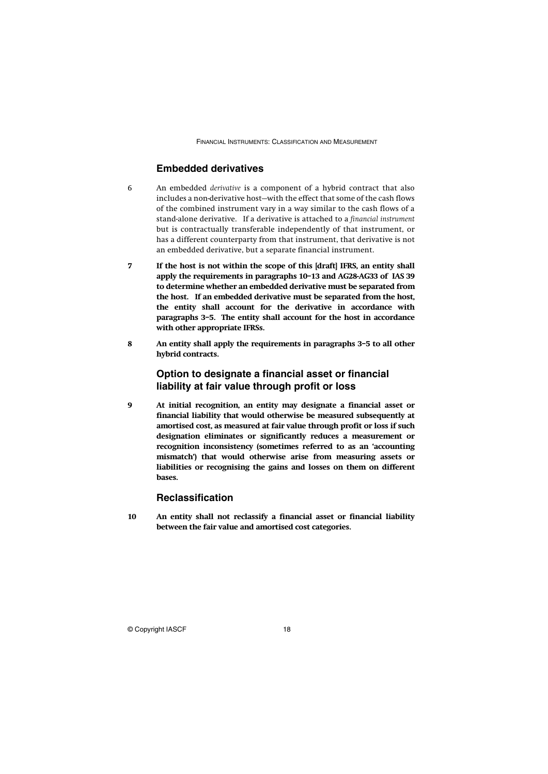#### **Embedded derivatives**

- 6 An embedded *derivative* is a component of a hybrid contract that also includes a non-derivative host—with the effect that some of the cash flows of the combined instrument vary in a way similar to the cash flows of a stand-alone derivative. If a derivative is attached to a *financial instrument* but is contractually transferable independently of that instrument, or has a different counterparty from that instrument, that derivative is not an embedded derivative, but a separate financial instrument.
- **7 If the host is not within the scope of this [draft] IFRS, an entity shall apply the requirements in paragraphs 10–13 and AG28-AG33 of IAS 39 to determine whether an embedded derivative must be separated from the host. If an embedded derivative must be separated from the host, the entity shall account for the derivative in accordance with paragraphs 3–5. The entity shall account for the host in accordance with other appropriate IFRSs.**
- **8 An entity shall apply the requirements in paragraphs 3–5 to all other hybrid contracts.**

#### **Option to designate a financial asset or financial liability at fair value through profit or loss**

**9 At initial recognition, an entity may designate a financial asset or financial liability that would otherwise be measured subsequently at amortised cost, as measured at fair value through profit or loss if such designation eliminates or significantly reduces a measurement or recognition inconsistency (sometimes referred to as an 'accounting mismatch') that would otherwise arise from measuring assets or liabilities or recognising the gains and losses on them on different bases.**

#### **Reclassification**

**10 An entity shall not reclassify a financial asset or financial liability between the fair value and amortised cost categories.**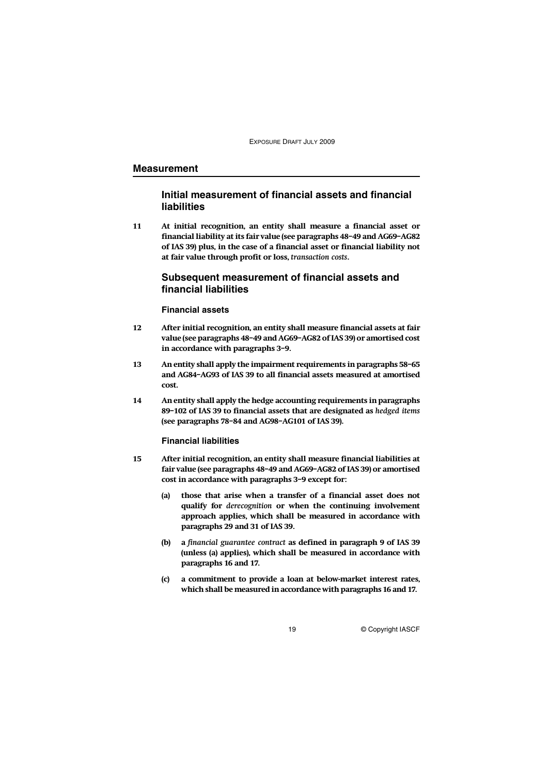#### **Measurement**

#### **Initial measurement of financial assets and financial liabilities**

**11 At initial recognition, an entity shall measure a financial asset or financial liability at its fair value (see paragraphs 48–49 and AG69–AG82 of IAS 39) plus, in the case of a financial asset or financial liability not at fair value through profit or loss,** *transaction costs***.**

#### **Subsequent measurement of financial assets and financial liabilities**

#### **Financial assets**

- **12 After initial recognition, an entity shall measure financial assets at fair value (see paragraphs 48–49 and AG69–AG82 of IAS 39) or amortised cost in accordance with paragraphs 3–9.**
- **13 An entity shall apply the impairment requirements in paragraphs 58–65 and AG84–AG93 of IAS 39 to all financial assets measured at amortised cost.**
- **14 An entity shall apply the hedge accounting requirements in paragraphs 89–102 of IAS 39 to financial assets that are designated as** *hedged items* **(see paragraphs 78–84 and AG98–AG101 of IAS 39).**

#### **Financial liabilities**

- **15 After initial recognition, an entity shall measure financial liabilities at fair value (see paragraphs 48–49 and AG69–AG82 of IAS 39) or amortised cost in accordance with paragraphs 3–9 except for:**
	- **(a) those that arise when a transfer of a financial asset does not qualify for** *derecognition* **or when the continuing involvement approach applies, which shall be measured in accordance with paragraphs 29 and 31 of IAS 39.**
	- **(b) a** *financial guarantee contract* **as defined in paragraph 9 of IAS 39 (unless (a) applies), which shall be measured in accordance with paragraphs 16 and 17.**
	- **(c) a commitment to provide a loan at below-market interest rates, which shall be measured in accordance with paragraphs 16 and 17.**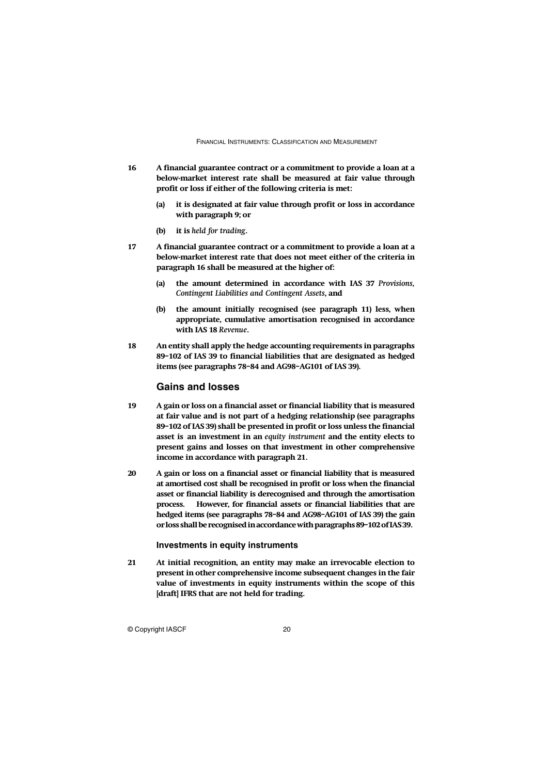- **16 A financial guarantee contract or a commitment to provide a loan at a below-market interest rate shall be measured at fair value through profit or loss if either of the following criteria is met:**
	- **(a) it is designated at fair value through profit or loss in accordance with paragraph 9; or**
	- **(b) it is** *held for trading***.**
- **17 A financial guarantee contract or a commitment to provide a loan at a below-market interest rate that does not meet either of the criteria in paragraph 16 shall be measured at the higher of:**
	- **(a) the amount determined in accordance with IAS 37** *Provisions, Contingent Liabilities and Contingent Assets***, and**
	- **(b) the amount initially recognised (see paragraph 11) less, when appropriate, cumulative amortisation recognised in accordance with IAS 18** *Revenue***.**
- **18 An entity shall apply the hedge accounting requirements in paragraphs 89–102 of IAS 39 to financial liabilities that are designated as hedged items (see paragraphs 78–84 and AG98–AG101 of IAS 39).**

#### **Gains and losses**

- **19 A gain or loss on a financial asset or financial liability that is measured at fair value and is not part of a hedging relationship (see paragraphs 89–102 of IAS 39) shall be presented in profit or loss unless the financial asset is an investment in an** *equity instrument* **and the entity elects to present gains and losses on that investment in other comprehensive income in accordance with paragraph 21.**
- **20 A gain or loss on a financial asset or financial liability that is measured at amortised cost shall be recognised in profit or loss when the financial asset or financial liability is derecognised and through the amortisation process. However, for financial assets or financial liabilities that are hedged items (see paragraphs 78–84 and AG98–AG101 of IAS 39) the gain or loss shall be recognised in accordance with paragraphs 89–102 of IAS 39.**

#### **Investments in equity instruments**

**21 At initial recognition, an entity may make an irrevocable election to present in other comprehensive income subsequent changes in the fair value of investments in equity instruments within the scope of this [draft] IFRS that are not held for trading.** 

 $\overline{\phantom{a}}$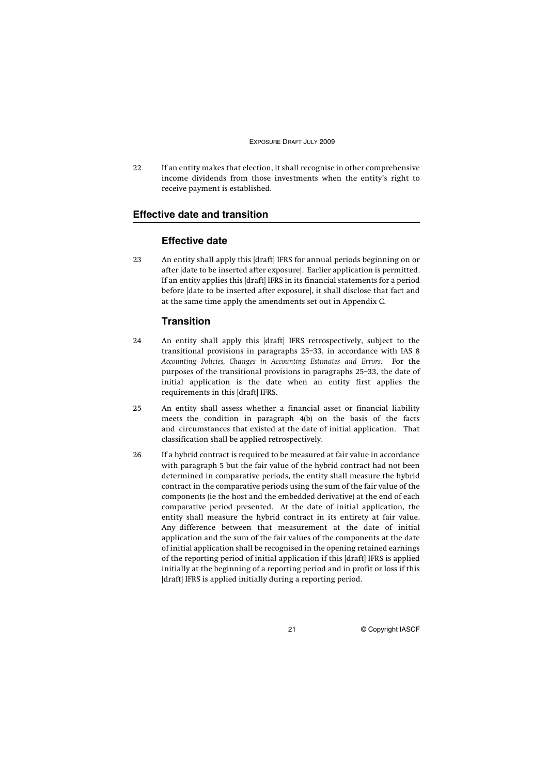22 If an entity makes that election, it shall recognise in other comprehensive income dividends from those investments when the entity's right to receive payment is established.

#### **Effective date and transition**

#### **Effective date**

23 An entity shall apply this [draft] IFRS for annual periods beginning on or after [date to be inserted after exposure]. Earlier application is permitted. If an entity applies this [draft] IFRS in its financial statements for a period before [date to be inserted after exposure], it shall disclose that fact and at the same time apply the amendments set out in Appendix C.

#### **Transition**

- 24 An entity shall apply this [draft] IFRS retrospectively, subject to the transitional provisions in paragraphs 25–33, in accordance with IAS 8 *Accounting Policies, Changes in Accounting Estimates and Errors*. For the purposes of the transitional provisions in paragraphs 25–33, the date of initial application is the date when an entity first applies the requirements in this [draft] IFRS.
- 25 An entity shall assess whether a financial asset or financial liability meets the condition in paragraph 4(b) on the basis of the facts and circumstances that existed at the date of initial application. That classification shall be applied retrospectively.
- 26 If a hybrid contract is required to be measured at fair value in accordance with paragraph 5 but the fair value of the hybrid contract had not been determined in comparative periods, the entity shall measure the hybrid contract in the comparative periods using the sum of the fair value of the components (ie the host and the embedded derivative) at the end of each comparative period presented. At the date of initial application, the entity shall measure the hybrid contract in its entirety at fair value. Any difference between that measurement at the date of initial application and the sum of the fair values of the components at the date of initial application shall be recognised in the opening retained earnings of the reporting period of initial application if this [draft] IFRS is applied initially at the beginning of a reporting period and in profit or loss if this [draft] IFRS is applied initially during a reporting period.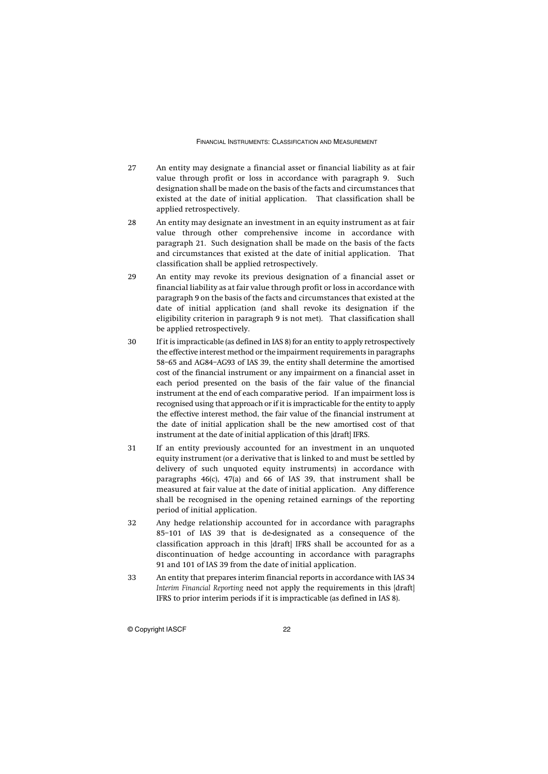- 27 An entity may designate a financial asset or financial liability as at fair value through profit or loss in accordance with paragraph 9. Such designation shall be made on the basis of the facts and circumstances that existed at the date of initial application. That classification shall be applied retrospectively.
- 28 An entity may designate an investment in an equity instrument as at fair value through other comprehensive income in accordance with paragraph 21. Such designation shall be made on the basis of the facts and circumstances that existed at the date of initial application. That classification shall be applied retrospectively.
- 29 An entity may revoke its previous designation of a financial asset or financial liability as at fair value through profit or loss in accordance with paragraph 9 on the basis of the facts and circumstances that existed at the date of initial application (and shall revoke its designation if the eligibility criterion in paragraph 9 is not met). That classification shall be applied retrospectively.
- 30 If it is impracticable (as defined in IAS 8) for an entity to apply retrospectively the effective interest method or the impairment requirements in paragraphs 58–65 and AG84–AG93 of IAS 39, the entity shall determine the amortised cost of the financial instrument or any impairment on a financial asset in each period presented on the basis of the fair value of the financial instrument at the end of each comparative period. If an impairment loss is recognised using that approach or if it is impracticable for the entity to apply the effective interest method, the fair value of the financial instrument at the date of initial application shall be the new amortised cost of that instrument at the date of initial application of this [draft] IFRS.
- 31 If an entity previously accounted for an investment in an unquoted equity instrument (or a derivative that is linked to and must be settled by delivery of such unquoted equity instruments) in accordance with paragraphs 46(c), 47(a) and 66 of IAS 39, that instrument shall be measured at fair value at the date of initial application. Any difference shall be recognised in the opening retained earnings of the reporting period of initial application.
- 32 Any hedge relationship accounted for in accordance with paragraphs 85–101 of IAS 39 that is de-designated as a consequence of the classification approach in this [draft] IFRS shall be accounted for as a discontinuation of hedge accounting in accordance with paragraphs 91 and 101 of IAS 39 from the date of initial application.
- 33 An entity that prepares interim financial reports in accordance with IAS 34 *Interim Financial Reporting* need not apply the requirements in this [draft] IFRS to prior interim periods if it is impracticable (as defined in IAS 8).

 $\sum_{i=1}^{n}$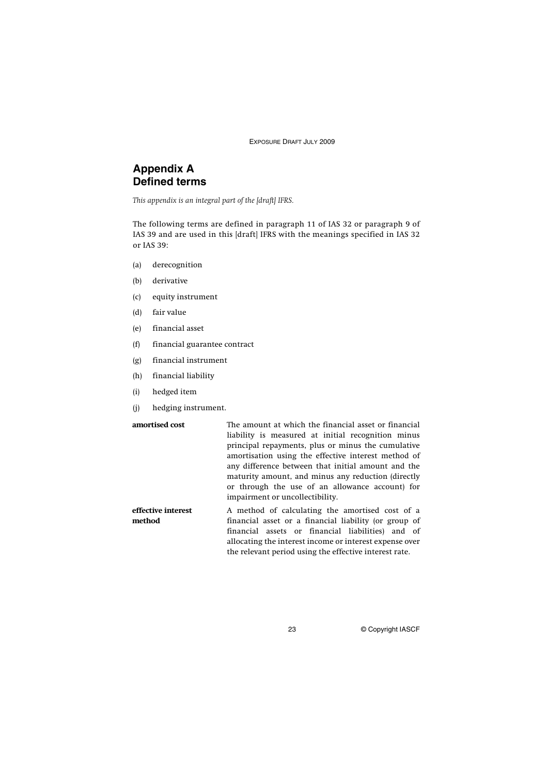### **Appendix A Defined terms**

*This appendix is an integral part of the [draft] IFRS.* 

The following terms are defined in paragraph 11 of IAS 32 or paragraph 9 of IAS 39 and are used in this [draft] IFRS with the meanings specified in IAS 32 or IAS 39:

- (a) derecognition
- (b) derivative
- (c) equity instrument
- (d) fair value
- (e) financial asset
- (f) financial guarantee contract
- (g) financial instrument
- (h) financial liability
- (i) hedged item
- (j) hedging instrument.

**amortised cost** The amount at which the financial asset or financial liability is measured at initial recognition minus principal repayments, plus or minus the cumulative amortisation using the effective interest method of any difference between that initial amount and the maturity amount, and minus any reduction (directly or through the use of an allowance account) for impairment or uncollectibility.

**effective interest method** A method of calculating the amortised cost of a financial asset or a financial liability (or group of financial assets or financial liabilities) and of allocating the interest income or interest expense over the relevant period using the effective interest rate.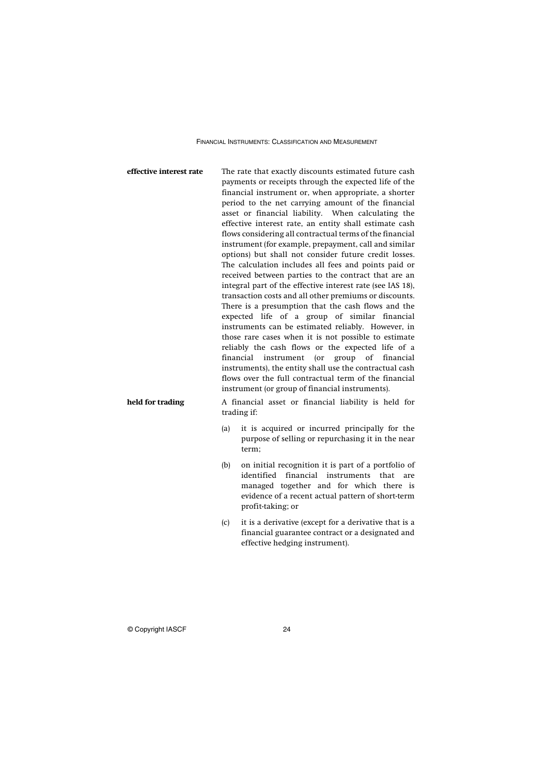| effective interest rate | The rate that exactly discounts estimated future cash<br>payments or receipts through the expected life of the<br>financial instrument or, when appropriate, a shorter<br>period to the net carrying amount of the financial<br>asset or financial liability. When calculating the<br>effective interest rate, an entity shall estimate cash<br>flows considering all contractual terms of the financial<br>instrument (for example, prepayment, call and similar<br>options) but shall not consider future credit losses.<br>The calculation includes all fees and points paid or<br>received between parties to the contract that are an<br>integral part of the effective interest rate (see IAS 18),<br>transaction costs and all other premiums or discounts.<br>There is a presumption that the cash flows and the<br>expected life of a group of similar financial<br>instruments can be estimated reliably. However, in<br>those rare cases when it is not possible to estimate<br>reliably the cash flows or the expected life of a<br>financial<br>group<br>of<br>financial<br>instrument<br>$($ or<br>instruments), the entity shall use the contractual cash<br>flows over the full contractual term of the financial<br>instrument (or group of financial instruments). |  |
|-------------------------|--------------------------------------------------------------------------------------------------------------------------------------------------------------------------------------------------------------------------------------------------------------------------------------------------------------------------------------------------------------------------------------------------------------------------------------------------------------------------------------------------------------------------------------------------------------------------------------------------------------------------------------------------------------------------------------------------------------------------------------------------------------------------------------------------------------------------------------------------------------------------------------------------------------------------------------------------------------------------------------------------------------------------------------------------------------------------------------------------------------------------------------------------------------------------------------------------------------------------------------------------------------------------------------|--|
| held for trading        | A financial asset or financial liability is held for<br>trading if:                                                                                                                                                                                                                                                                                                                                                                                                                                                                                                                                                                                                                                                                                                                                                                                                                                                                                                                                                                                                                                                                                                                                                                                                                  |  |
|                         | it is acquired or incurred principally for the<br>(a)<br>purpose of selling or repurchasing it in the near<br>term;                                                                                                                                                                                                                                                                                                                                                                                                                                                                                                                                                                                                                                                                                                                                                                                                                                                                                                                                                                                                                                                                                                                                                                  |  |
|                         | on initial recognition it is part of a portfolio of<br>(b)<br>identified financial instruments that<br>are<br>managed together and for which there is                                                                                                                                                                                                                                                                                                                                                                                                                                                                                                                                                                                                                                                                                                                                                                                                                                                                                                                                                                                                                                                                                                                                |  |

evidence of a recent actual pattern of short-term profit-taking; or (c) it is a derivative (except for a derivative that is a financial guarantee contract or a designated and

effective hedging instrument).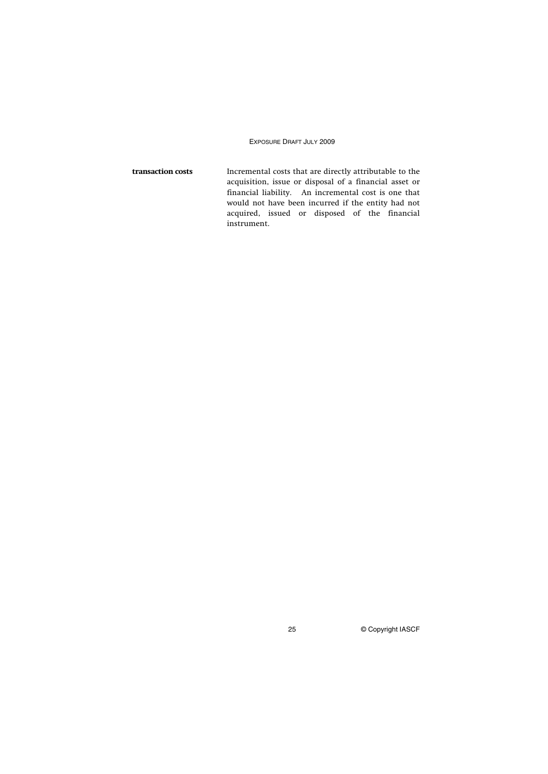**transaction costs** Incremental costs that are directly attributable to the acquisition, issue or disposal of a financial asset or financial liability. An incremental cost is one that would not have been incurred if the entity had not acquired, issued or disposed of the financial instrument.

25 © Copyright IASCF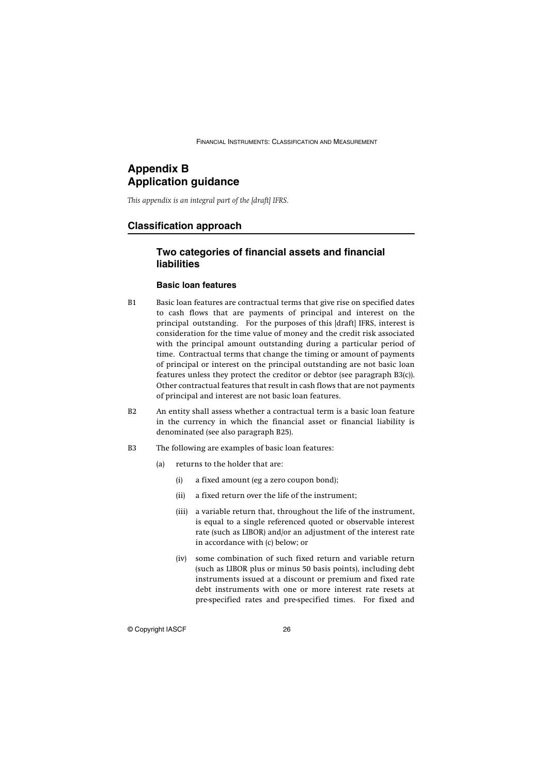#### **Appendix B Application guidance**

*This appendix is an integral part of the [draft] IFRS.*

#### **Classification approach**

#### **Two categories of financial assets and financial liabilities**

#### **Basic loan features**

- B1 Basic loan features are contractual terms that give rise on specified dates to cash flows that are payments of principal and interest on the principal outstanding. For the purposes of this [draft] IFRS, interest is consideration for the time value of money and the credit risk associated with the principal amount outstanding during a particular period of time. Contractual terms that change the timing or amount of payments of principal or interest on the principal outstanding are not basic loan features unless they protect the creditor or debtor (see paragraph B3(c)). Other contractual features that result in cash flows that are not payments of principal and interest are not basic loan features.
- B2 An entity shall assess whether a contractual term is a basic loan feature in the currency in which the financial asset or financial liability is denominated (see also paragraph B25).
- B3 The following are examples of basic loan features:
	- (a) returns to the holder that are:
		- (i) a fixed amount (eg a zero coupon bond);
		- (ii) a fixed return over the life of the instrument;
		- (iii) a variable return that, throughout the life of the instrument, is equal to a single referenced quoted or observable interest rate (such as LIBOR) and/or an adjustment of the interest rate in accordance with (c) below; or
		- (iv) some combination of such fixed return and variable return (such as LIBOR plus or minus 50 basis points), including debt instruments issued at a discount or premium and fixed rate debt instruments with one or more interest rate resets at pre-specified rates and pre-specified times. For fixed and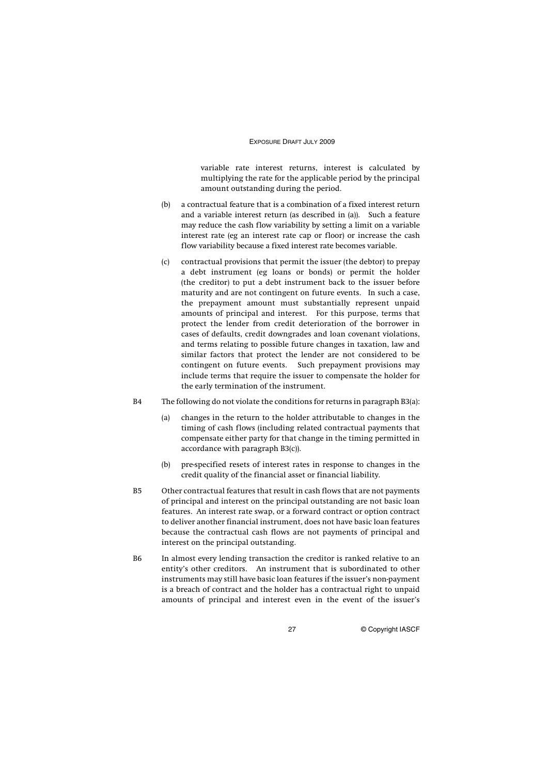variable rate interest returns, interest is calculated by multiplying the rate for the applicable period by the principal amount outstanding during the period.

- (b) a contractual feature that is a combination of a fixed interest return and a variable interest return (as described in (a)). Such a feature may reduce the cash flow variability by setting a limit on a variable interest rate (eg an interest rate cap or floor) or increase the cash flow variability because a fixed interest rate becomes variable.
- (c) contractual provisions that permit the issuer (the debtor) to prepay a debt instrument (eg loans or bonds) or permit the holder (the creditor) to put a debt instrument back to the issuer before maturity and are not contingent on future events. In such a case, the prepayment amount must substantially represent unpaid amounts of principal and interest. For this purpose, terms that protect the lender from credit deterioration of the borrower in cases of defaults, credit downgrades and loan covenant violations, and terms relating to possible future changes in taxation, law and similar factors that protect the lender are not considered to be contingent on future events. Such prepayment provisions may include terms that require the issuer to compensate the holder for the early termination of the instrument.
- B4 The following do not violate the conditions for returns in paragraph B3(a):
	- (a) changes in the return to the holder attributable to changes in the timing of cash flows (including related contractual payments that compensate either party for that change in the timing permitted in accordance with paragraph B3(c)).
	- (b) pre-specified resets of interest rates in response to changes in the credit quality of the financial asset or financial liability.
- B5 Other contractual features that result in cash flows that are not payments of principal and interest on the principal outstanding are not basic loan features. An interest rate swap, or a forward contract or option contract to deliver another financial instrument, does not have basic loan features because the contractual cash flows are not payments of principal and interest on the principal outstanding.
- B6 In almost every lending transaction the creditor is ranked relative to an entity's other creditors. An instrument that is subordinated to other instruments may still have basic loan features if the issuer's non-payment is a breach of contract and the holder has a contractual right to unpaid amounts of principal and interest even in the event of the issuer's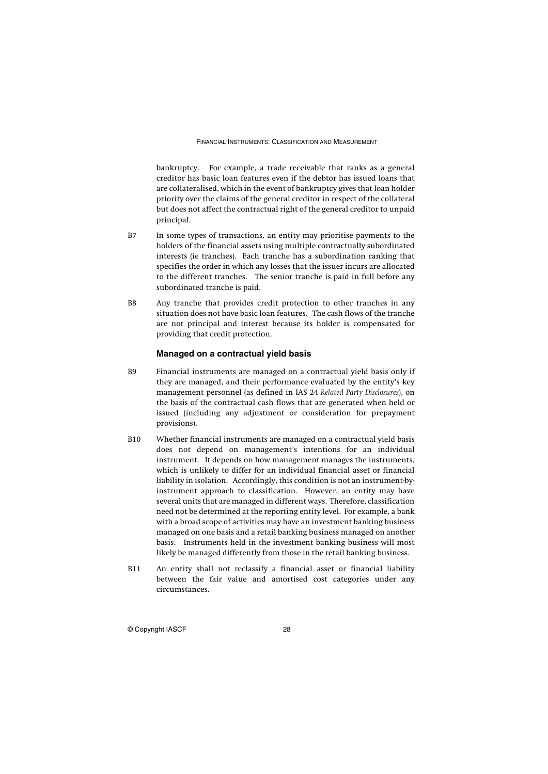bankruptcy. For example, a trade receivable that ranks as a general creditor has basic loan features even if the debtor has issued loans that are collateralised, which in the event of bankruptcy gives that loan holder priority over the claims of the general creditor in respect of the collateral but does not affect the contractual right of the general creditor to unpaid principal.

- B7 In some types of transactions, an entity may prioritise payments to the holders of the financial assets using multiple contractually subordinated interests (ie tranches). Each tranche has a subordination ranking that specifies the order in which any losses that the issuer incurs are allocated to the different tranches. The senior tranche is paid in full before any subordinated tranche is paid.
- B8 Any tranche that provides credit protection to other tranches in any situation does not have basic loan features. The cash flows of the tranche are not principal and interest because its holder is compensated for providing that credit protection.

#### **Managed on a contractual yield basis**

- B9 Financial instruments are managed on a contractual yield basis only if they are managed, and their performance evaluated by the entity's key management personnel (as defined in IAS 24 *Related Party Disclosures*), on the basis of the contractual cash flows that are generated when held or issued (including any adjustment or consideration for prepayment provisions).
- B10 Whether financial instruments are managed on a contractual yield basis does not depend on management's intentions for an individual instrument. It depends on how management manages the instruments, which is unlikely to differ for an individual financial asset or financial liability in isolation. Accordingly, this condition is not an instrument-byinstrument approach to classification. However, an entity may have several units that are managed in different ways. Therefore, classification need not be determined at the reporting entity level. For example, a bank with a broad scope of activities may have an investment banking business managed on one basis and a retail banking business managed on another basis. Instruments held in the investment banking business will most likely be managed differently from those in the retail banking business.
- B11 An entity shall not reclassify a financial asset or financial liability between the fair value and amortised cost categories under any circumstances.

 $\overline{\phantom{a}}$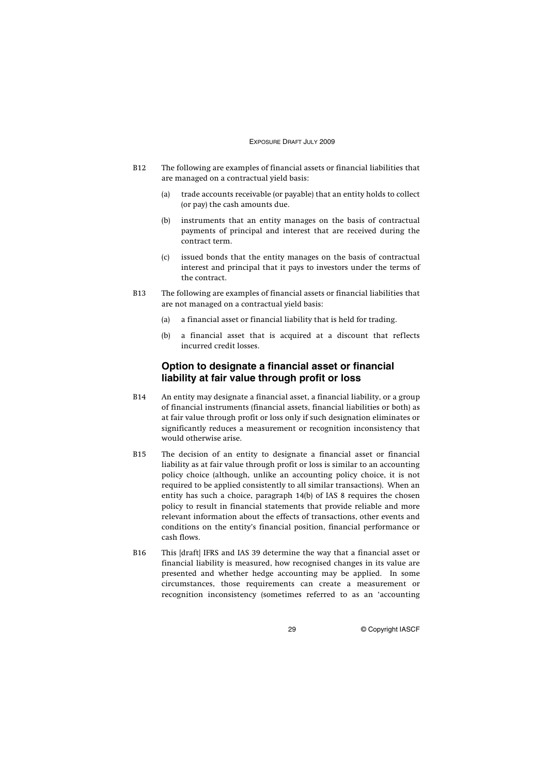- B12 The following are examples of financial assets or financial liabilities that are managed on a contractual yield basis:
	- (a) trade accounts receivable (or payable) that an entity holds to collect (or pay) the cash amounts due.
	- (b) instruments that an entity manages on the basis of contractual payments of principal and interest that are received during the contract term.
	- (c) issued bonds that the entity manages on the basis of contractual interest and principal that it pays to investors under the terms of the contract.
- B13 The following are examples of financial assets or financial liabilities that are not managed on a contractual yield basis:
	- (a) a financial asset or financial liability that is held for trading.
	- (b) a financial asset that is acquired at a discount that reflects incurred credit losses.

#### **Option to designate a financial asset or financial liability at fair value through profit or loss**

- B14 An entity may designate a financial asset, a financial liability, or a group of financial instruments (financial assets, financial liabilities or both) as at fair value through profit or loss only if such designation eliminates or significantly reduces a measurement or recognition inconsistency that would otherwise arise.
- B15 The decision of an entity to designate a financial asset or financial liability as at fair value through profit or loss is similar to an accounting policy choice (although, unlike an accounting policy choice, it is not required to be applied consistently to all similar transactions). When an entity has such a choice, paragraph 14(b) of IAS 8 requires the chosen policy to result in financial statements that provide reliable and more relevant information about the effects of transactions, other events and conditions on the entity's financial position, financial performance or cash flows.
- B16 This [draft] IFRS and IAS 39 determine the way that a financial asset or financial liability is measured, how recognised changes in its value are presented and whether hedge accounting may be applied. In some circumstances, those requirements can create a measurement or recognition inconsistency (sometimes referred to as an 'accounting

29 © Copyright IASCF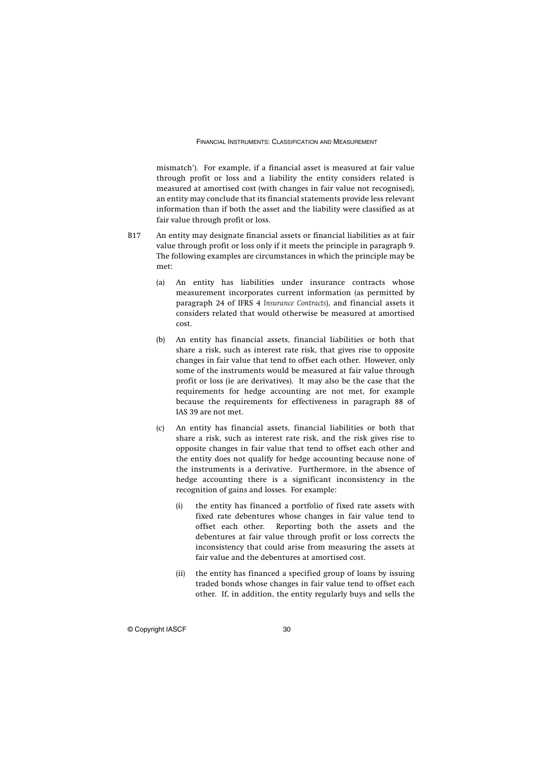mismatch'). For example, if a financial asset is measured at fair value through profit or loss and a liability the entity considers related is measured at amortised cost (with changes in fair value not recognised), an entity may conclude that its financial statements provide less relevant information than if both the asset and the liability were classified as at fair value through profit or loss.

- B17 An entity may designate financial assets or financial liabilities as at fair value through profit or loss only if it meets the principle in paragraph 9. The following examples are circumstances in which the principle may be met:
	- (a) An entity has liabilities under insurance contracts whose measurement incorporates current information (as permitted by paragraph 24 of IFRS 4 *Insurance Contracts*), and financial assets it considers related that would otherwise be measured at amortised cost.
	- (b) An entity has financial assets, financial liabilities or both that share a risk, such as interest rate risk, that gives rise to opposite changes in fair value that tend to offset each other. However, only some of the instruments would be measured at fair value through profit or loss (ie are derivatives). It may also be the case that the requirements for hedge accounting are not met, for example because the requirements for effectiveness in paragraph 88 of IAS 39 are not met.
	- (c) An entity has financial assets, financial liabilities or both that share a risk, such as interest rate risk, and the risk gives rise to opposite changes in fair value that tend to offset each other and the entity does not qualify for hedge accounting because none of the instruments is a derivative. Furthermore, in the absence of hedge accounting there is a significant inconsistency in the recognition of gains and losses. For example:
		- (i) the entity has financed a portfolio of fixed rate assets with fixed rate debentures whose changes in fair value tend to offset each other. Reporting both the assets and the debentures at fair value through profit or loss corrects the inconsistency that could arise from measuring the assets at fair value and the debentures at amortised cost.
		- (ii) the entity has financed a specified group of loans by issuing traded bonds whose changes in fair value tend to offset each other. If, in addition, the entity regularly buys and sells the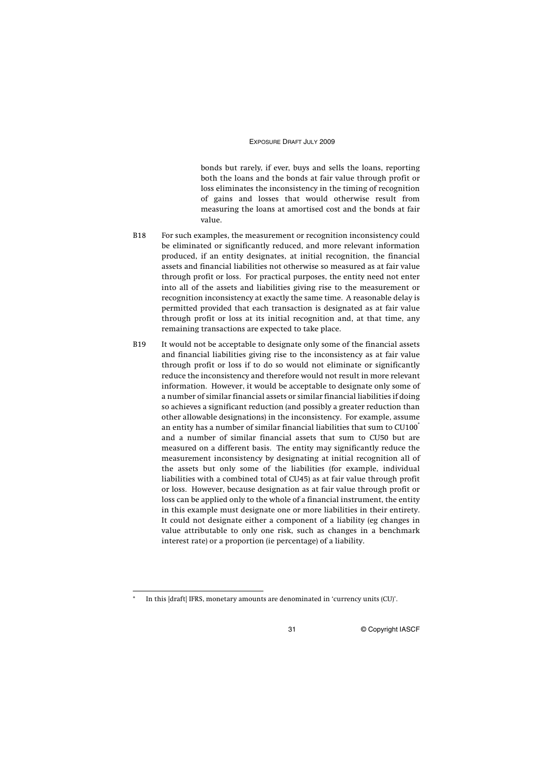bonds but rarely, if ever, buys and sells the loans, reporting both the loans and the bonds at fair value through profit or loss eliminates the inconsistency in the timing of recognition of gains and losses that would otherwise result from measuring the loans at amortised cost and the bonds at fair value.

- B18 For such examples, the measurement or recognition inconsistency could be eliminated or significantly reduced, and more relevant information produced, if an entity designates, at initial recognition, the financial assets and financial liabilities not otherwise so measured as at fair value through profit or loss. For practical purposes, the entity need not enter into all of the assets and liabilities giving rise to the measurement or recognition inconsistency at exactly the same time. A reasonable delay is permitted provided that each transaction is designated as at fair value through profit or loss at its initial recognition and, at that time, any remaining transactions are expected to take place.
- B19 It would not be acceptable to designate only some of the financial assets and financial liabilities giving rise to the inconsistency as at fair value through profit or loss if to do so would not eliminate or significantly reduce the inconsistency and therefore would not result in more relevant information. However, it would be acceptable to designate only some of a number of similar financial assets or similar financial liabilities if doing so achieves a significant reduction (and possibly a greater reduction than other allowable designations) in the inconsistency. For example, assume an entity has a number of similar financial liabilities that sum to CU100<sup>\*</sup> and a number of similar financial assets that sum to CU50 but are measured on a different basis. The entity may significantly reduce the measurement inconsistency by designating at initial recognition all of the assets but only some of the liabilities (for example, individual liabilities with a combined total of CU45) as at fair value through profit or loss. However, because designation as at fair value through profit or loss can be applied only to the whole of a financial instrument, the entity in this example must designate one or more liabilities in their entirety. It could not designate either a component of a liability (eg changes in value attributable to only one risk, such as changes in a benchmark interest rate) or a proportion (ie percentage) of a liability.

In this [draft] IFRS, monetary amounts are denominated in 'currency units (CU)'.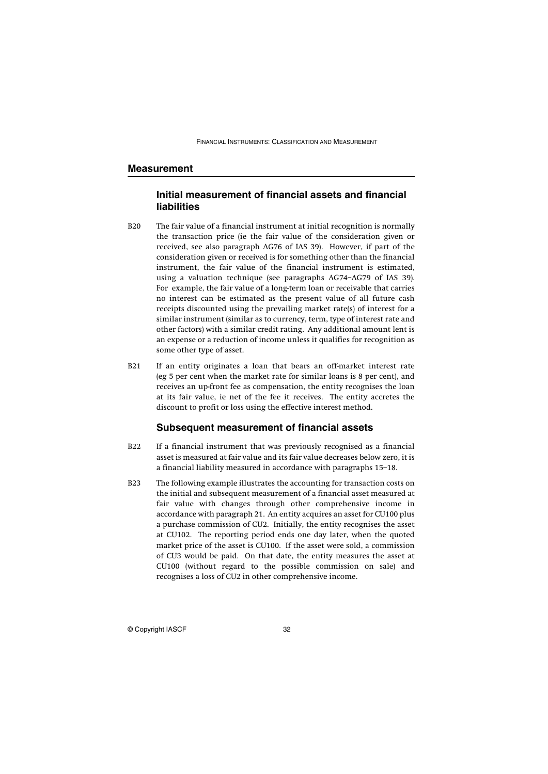#### **Measurement**

#### **Initial measurement of financial assets and financial liabilities**

- B20 The fair value of a financial instrument at initial recognition is normally the transaction price (ie the fair value of the consideration given or received, see also paragraph AG76 of IAS 39). However, if part of the consideration given or received is for something other than the financial instrument, the fair value of the financial instrument is estimated, using a valuation technique (see paragraphs AG74–AG79 of IAS 39). For example, the fair value of a long-term loan or receivable that carries no interest can be estimated as the present value of all future cash receipts discounted using the prevailing market rate(s) of interest for a similar instrument (similar as to currency, term, type of interest rate and other factors) with a similar credit rating. Any additional amount lent is an expense or a reduction of income unless it qualifies for recognition as some other type of asset.
- B21 If an entity originates a loan that bears an off-market interest rate (eg 5 per cent when the market rate for similar loans is 8 per cent), and receives an up-front fee as compensation, the entity recognises the loan at its fair value, ie net of the fee it receives. The entity accretes the discount to profit or loss using the effective interest method.

#### **Subsequent measurement of financial assets**

- B22 If a financial instrument that was previously recognised as a financial asset is measured at fair value and its fair value decreases below zero, it is a financial liability measured in accordance with paragraphs 15–18.
- B23 The following example illustrates the accounting for transaction costs on the initial and subsequent measurement of a financial asset measured at fair value with changes through other comprehensive income in accordance with paragraph 21. An entity acquires an asset for CU100 plus a purchase commission of CU2. Initially, the entity recognises the asset at CU102. The reporting period ends one day later, when the quoted market price of the asset is CU100. If the asset were sold, a commission of CU3 would be paid. On that date, the entity measures the asset at CU100 (without regard to the possible commission on sale) and recognises a loss of CU2 in other comprehensive income.

 $\sum_{i=1}^{n}$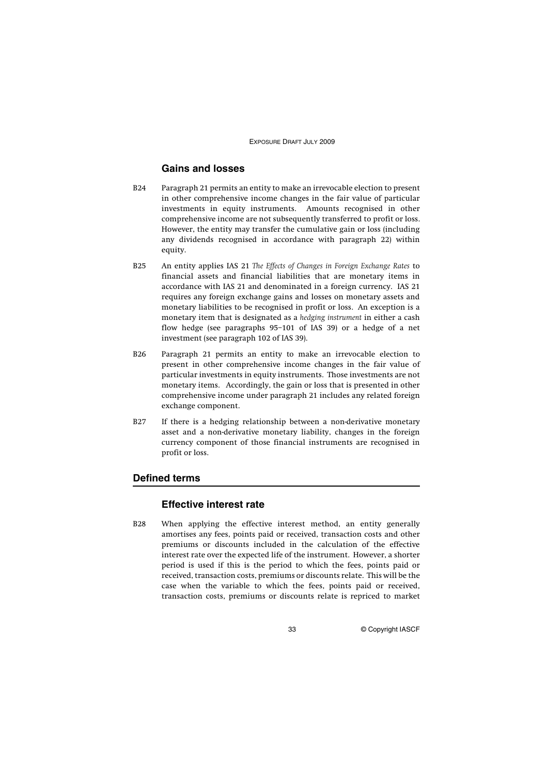#### **Gains and losses**

- B24 Paragraph 21 permits an entity to make an irrevocable election to present in other comprehensive income changes in the fair value of particular investments in equity instruments. Amounts recognised in other comprehensive income are not subsequently transferred to profit or loss. However, the entity may transfer the cumulative gain or loss (including any dividends recognised in accordance with paragraph 22) within equity.
- B25 An entity applies IAS 21 *The Effects of Changes in Foreign Exchange Rates* to financial assets and financial liabilities that are monetary items in accordance with IAS 21 and denominated in a foreign currency. IAS 21 requires any foreign exchange gains and losses on monetary assets and monetary liabilities to be recognised in profit or loss. An exception is a monetary item that is designated as a *hedging instrument* in either a cash flow hedge (see paragraphs 95–101 of IAS 39) or a hedge of a net investment (see paragraph 102 of IAS 39).
- B26 Paragraph 21 permits an entity to make an irrevocable election to present in other comprehensive income changes in the fair value of particular investments in equity instruments. Those investments are not monetary items. Accordingly, the gain or loss that is presented in other comprehensive income under paragraph 21 includes any related foreign exchange component.
- B27 If there is a hedging relationship between a non-derivative monetary asset and a non-derivative monetary liability, changes in the foreign currency component of those financial instruments are recognised in profit or loss.

#### **Defined terms**

#### **Effective interest rate**

B28 When applying the effective interest method, an entity generally amortises any fees, points paid or received, transaction costs and other premiums or discounts included in the calculation of the effective interest rate over the expected life of the instrument. However, a shorter period is used if this is the period to which the fees, points paid or received, transaction costs, premiums or discounts relate. This will be the case when the variable to which the fees, points paid or received, transaction costs, premiums or discounts relate is repriced to market

33 © Copyright IASCF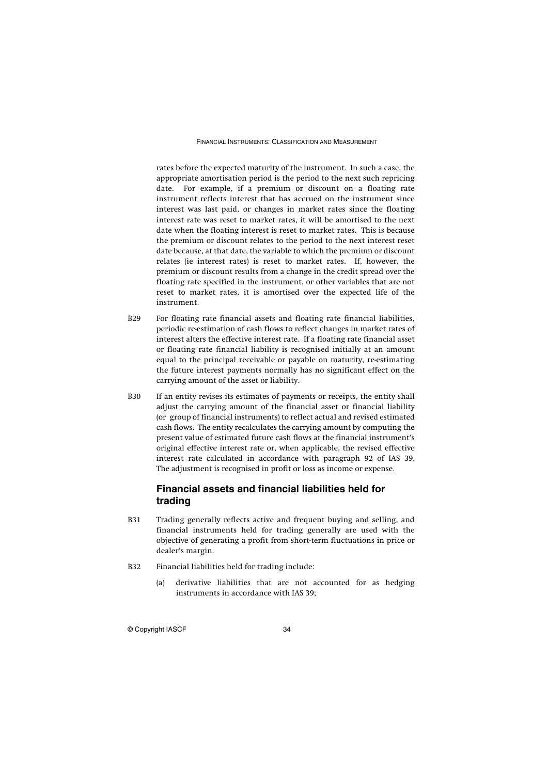rates before the expected maturity of the instrument. In such a case, the appropriate amortisation period is the period to the next such repricing date. For example, if a premium or discount on a floating rate instrument reflects interest that has accrued on the instrument since interest was last paid, or changes in market rates since the floating interest rate was reset to market rates, it will be amortised to the next date when the floating interest is reset to market rates. This is because the premium or discount relates to the period to the next interest reset date because, at that date, the variable to which the premium or discount relates (ie interest rates) is reset to market rates. If, however, the premium or discount results from a change in the credit spread over the floating rate specified in the instrument, or other variables that are not reset to market rates, it is amortised over the expected life of the instrument.

- B29 For floating rate financial assets and floating rate financial liabilities, periodic re-estimation of cash flows to reflect changes in market rates of interest alters the effective interest rate. If a floating rate financial asset or floating rate financial liability is recognised initially at an amount equal to the principal receivable or payable on maturity, re-estimating the future interest payments normally has no significant effect on the carrying amount of the asset or liability.
- B30 If an entity revises its estimates of payments or receipts, the entity shall adjust the carrying amount of the financial asset or financial liability (or group of financial instruments) to reflect actual and revised estimated cash flows. The entity recalculates the carrying amount by computing the present value of estimated future cash flows at the financial instrument's original effective interest rate or, when applicable, the revised effective interest rate calculated in accordance with paragraph 92 of IAS 39. The adjustment is recognised in profit or loss as income or expense.

#### **Financial assets and financial liabilities held for trading**

- B31 Trading generally reflects active and frequent buying and selling, and financial instruments held for trading generally are used with the objective of generating a profit from short-term fluctuations in price or dealer's margin.
- B32 Financial liabilities held for trading include:
	- (a) derivative liabilities that are not accounted for as hedging instruments in accordance with IAS 39;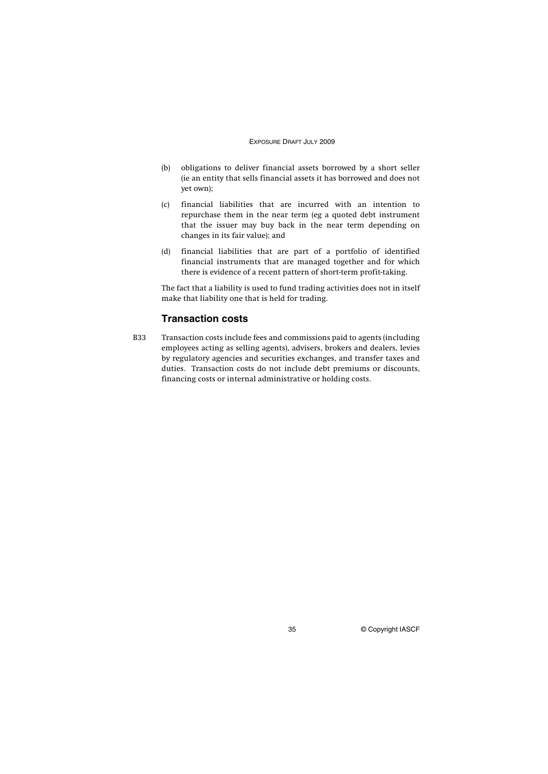- (b) obligations to deliver financial assets borrowed by a short seller (ie an entity that sells financial assets it has borrowed and does not yet own);
- (c) financial liabilities that are incurred with an intention to repurchase them in the near term (eg a quoted debt instrument that the issuer may buy back in the near term depending on changes in its fair value); and
- (d) financial liabilities that are part of a portfolio of identified financial instruments that are managed together and for which there is evidence of a recent pattern of short-term profit-taking.

The fact that a liability is used to fund trading activities does not in itself make that liability one that is held for trading.

#### **Transaction costs**

B33 Transaction costs include fees and commissions paid to agents (including employees acting as selling agents), advisers, brokers and dealers, levies by regulatory agencies and securities exchanges, and transfer taxes and duties. Transaction costs do not include debt premiums or discounts, financing costs or internal administrative or holding costs.